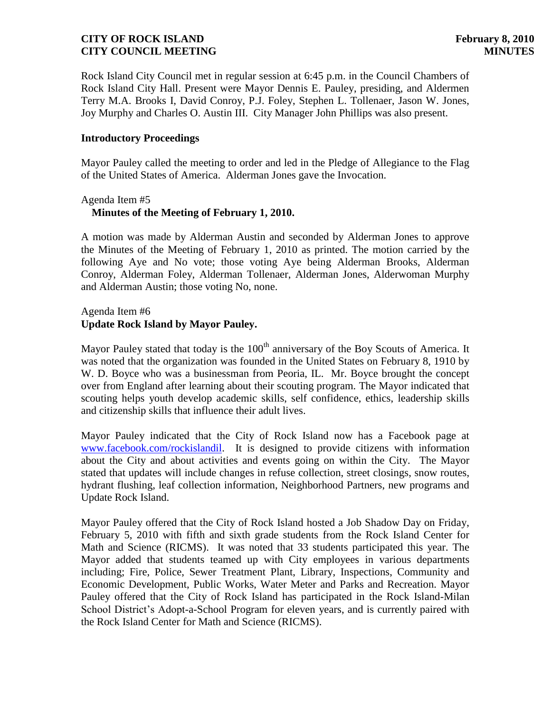Rock Island City Council met in regular session at 6:45 p.m. in the Council Chambers of Rock Island City Hall. Present were Mayor Dennis E. Pauley, presiding, and Aldermen Terry M.A. Brooks I, David Conroy, P.J. Foley, Stephen L. Tollenaer, Jason W. Jones, Joy Murphy and Charles O. Austin III. City Manager John Phillips was also present.

## **Introductory Proceedings**

Mayor Pauley called the meeting to order and led in the Pledge of Allegiance to the Flag of the United States of America. Alderman Jones gave the Invocation.

## Agenda Item #5  **Minutes of the Meeting of February 1, 2010.**

A motion was made by Alderman Austin and seconded by Alderman Jones to approve the Minutes of the Meeting of February 1, 2010 as printed. The motion carried by the following Aye and No vote; those voting Aye being Alderman Brooks, Alderman Conroy, Alderman Foley, Alderman Tollenaer, Alderman Jones, Alderwoman Murphy and Alderman Austin; those voting No, none.

## Agenda Item #6 **Update Rock Island by Mayor Pauley.**

Mayor Pauley stated that today is the 100<sup>th</sup> anniversary of the Boy Scouts of America. It was noted that the organization was founded in the United States on February 8, 1910 by W. D. Boyce who was a businessman from Peoria, IL. Mr. Boyce brought the concept over from England after learning about their scouting program. The Mayor indicated that scouting helps youth develop academic skills, self confidence, ethics, leadership skills and citizenship skills that influence their adult lives.

Mayor Pauley indicated that the City of Rock Island now has a Facebook page at [www.facebook.com/rockislandil.](http://www.facebook.com/rockislandil) It is designed to provide citizens with information about the City and about activities and events going on within the City. The Mayor stated that updates will include changes in refuse collection, street closings, snow routes, hydrant flushing, leaf collection information, Neighborhood Partners, new programs and Update Rock Island.

Mayor Pauley offered that the City of Rock Island hosted a Job Shadow Day on Friday, February 5, 2010 with fifth and sixth grade students from the Rock Island Center for Math and Science (RICMS). It was noted that 33 students participated this year. The Mayor added that students teamed up with City employees in various departments including; Fire, Police, Sewer Treatment Plant, Library, Inspections, Community and Economic Development, Public Works, Water Meter and Parks and Recreation. Mayor Pauley offered that the City of Rock Island has participated in the Rock Island-Milan School District's Adopt-a-School Program for eleven years, and is currently paired with the Rock Island Center for Math and Science (RICMS).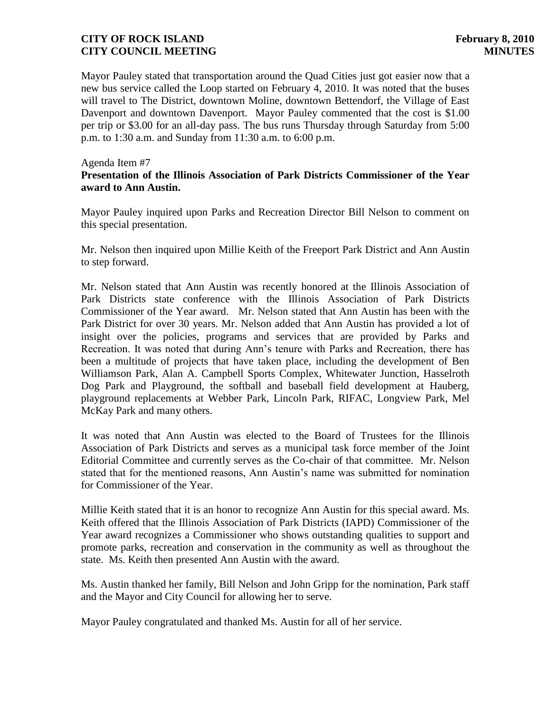Mayor Pauley stated that transportation around the Quad Cities just got easier now that a new bus service called the Loop started on February 4, 2010. It was noted that the buses will travel to The District, downtown Moline, downtown Bettendorf, the Village of East Davenport and downtown Davenport. Mayor Pauley commented that the cost is \$1.00 per trip or \$3.00 for an all-day pass. The bus runs Thursday through Saturday from 5:00 p.m. to 1:30 a.m. and Sunday from 11:30 a.m. to 6:00 p.m.

## Agenda Item #7

## **Presentation of the Illinois Association of Park Districts Commissioner of the Year award to Ann Austin.**

Mayor Pauley inquired upon Parks and Recreation Director Bill Nelson to comment on this special presentation.

Mr. Nelson then inquired upon Millie Keith of the Freeport Park District and Ann Austin to step forward.

Mr. Nelson stated that Ann Austin was recently honored at the Illinois Association of Park Districts state conference with the Illinois Association of Park Districts Commissioner of the Year award. Mr. Nelson stated that Ann Austin has been with the Park District for over 30 years. Mr. Nelson added that Ann Austin has provided a lot of insight over the policies, programs and services that are provided by Parks and Recreation. It was noted that during Ann's tenure with Parks and Recreation, there has been a multitude of projects that have taken place, including the development of Ben Williamson Park, Alan A. Campbell Sports Complex, Whitewater Junction, Hasselroth Dog Park and Playground, the softball and baseball field development at Hauberg, playground replacements at Webber Park, Lincoln Park, RIFAC, Longview Park, Mel McKay Park and many others.

It was noted that Ann Austin was elected to the Board of Trustees for the Illinois Association of Park Districts and serves as a municipal task force member of the Joint Editorial Committee and currently serves as the Co-chair of that committee. Mr. Nelson stated that for the mentioned reasons, Ann Austin's name was submitted for nomination for Commissioner of the Year.

Millie Keith stated that it is an honor to recognize Ann Austin for this special award. Ms. Keith offered that the Illinois Association of Park Districts (IAPD) Commissioner of the Year award recognizes a Commissioner who shows outstanding qualities to support and promote parks, recreation and conservation in the community as well as throughout the state. Ms. Keith then presented Ann Austin with the award.

Ms. Austin thanked her family, Bill Nelson and John Gripp for the nomination, Park staff and the Mayor and City Council for allowing her to serve.

Mayor Pauley congratulated and thanked Ms. Austin for all of her service.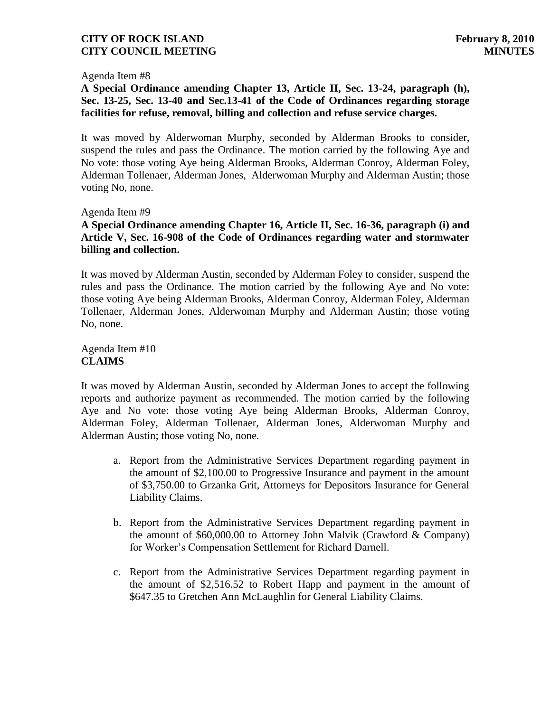## Agenda Item #8

# **A Special Ordinance amending Chapter 13, Article II, Sec. 13-24, paragraph (h), Sec. 13-25, Sec. 13-40 and Sec.13-41 of the Code of Ordinances regarding storage facilities for refuse, removal, billing and collection and refuse service charges.**

It was moved by Alderwoman Murphy, seconded by Alderman Brooks to consider, suspend the rules and pass the Ordinance. The motion carried by the following Aye and No vote: those voting Aye being Alderman Brooks, Alderman Conroy, Alderman Foley, Alderman Tollenaer, Alderman Jones, Alderwoman Murphy and Alderman Austin; those voting No, none.

## Agenda Item #9

## **A Special Ordinance amending Chapter 16, Article II, Sec. 16-36, paragraph (i) and Article V, Sec. 16-908 of the Code of Ordinances regarding water and stormwater billing and collection.**

It was moved by Alderman Austin, seconded by Alderman Foley to consider, suspend the rules and pass the Ordinance. The motion carried by the following Aye and No vote: those voting Aye being Alderman Brooks, Alderman Conroy, Alderman Foley, Alderman Tollenaer, Alderman Jones, Alderwoman Murphy and Alderman Austin; those voting No, none.

Agenda Item #10 **CLAIMS**

It was moved by Alderman Austin, seconded by Alderman Jones to accept the following reports and authorize payment as recommended. The motion carried by the following Aye and No vote: those voting Aye being Alderman Brooks, Alderman Conroy, Alderman Foley, Alderman Tollenaer, Alderman Jones, Alderwoman Murphy and Alderman Austin; those voting No, none.

- a. Report from the Administrative Services Department regarding payment in the amount of \$2,100.00 to Progressive Insurance and payment in the amount of \$3,750.00 to Grzanka Grit, Attorneys for Depositors Insurance for General Liability Claims.
- b. Report from the Administrative Services Department regarding payment in the amount of \$60,000.00 to Attorney John Malvik (Crawford & Company) for Worker's Compensation Settlement for Richard Darnell.
- c. Report from the Administrative Services Department regarding payment in the amount of \$2,516.52 to Robert Happ and payment in the amount of \$647.35 to Gretchen Ann McLaughlin for General Liability Claims.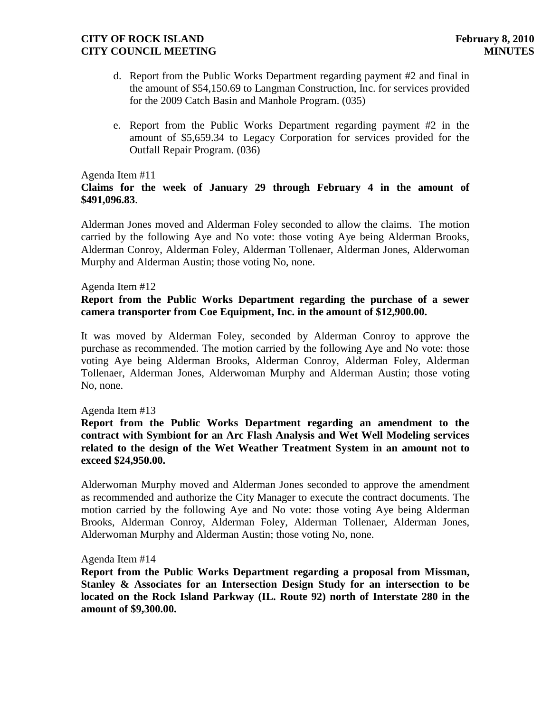- d. Report from the Public Works Department regarding payment #2 and final in the amount of \$54,150.69 to Langman Construction, Inc. for services provided for the 2009 Catch Basin and Manhole Program. (035)
- e. Report from the Public Works Department regarding payment #2 in the amount of \$5,659.34 to Legacy Corporation for services provided for the Outfall Repair Program. (036)

## Agenda Item #11

# **Claims for the week of January 29 through February 4 in the amount of \$491,096.83**.

Alderman Jones moved and Alderman Foley seconded to allow the claims. The motion carried by the following Aye and No vote: those voting Aye being Alderman Brooks, Alderman Conroy, Alderman Foley, Alderman Tollenaer, Alderman Jones, Alderwoman Murphy and Alderman Austin; those voting No, none.

## Agenda Item #12

# **Report from the Public Works Department regarding the purchase of a sewer camera transporter from Coe Equipment, Inc. in the amount of \$12,900.00.**

It was moved by Alderman Foley, seconded by Alderman Conroy to approve the purchase as recommended. The motion carried by the following Aye and No vote: those voting Aye being Alderman Brooks, Alderman Conroy, Alderman Foley, Alderman Tollenaer, Alderman Jones, Alderwoman Murphy and Alderman Austin; those voting No, none.

#### Agenda Item #13

## **Report from the Public Works Department regarding an amendment to the contract with Symbiont for an Arc Flash Analysis and Wet Well Modeling services related to the design of the Wet Weather Treatment System in an amount not to exceed \$24,950.00.**

Alderwoman Murphy moved and Alderman Jones seconded to approve the amendment as recommended and authorize the City Manager to execute the contract documents. The motion carried by the following Aye and No vote: those voting Aye being Alderman Brooks, Alderman Conroy, Alderman Foley, Alderman Tollenaer, Alderman Jones, Alderwoman Murphy and Alderman Austin; those voting No, none.

#### Agenda Item #14

**Report from the Public Works Department regarding a proposal from Missman, Stanley & Associates for an Intersection Design Study for an intersection to be located on the Rock Island Parkway (IL. Route 92) north of Interstate 280 in the amount of \$9,300.00.**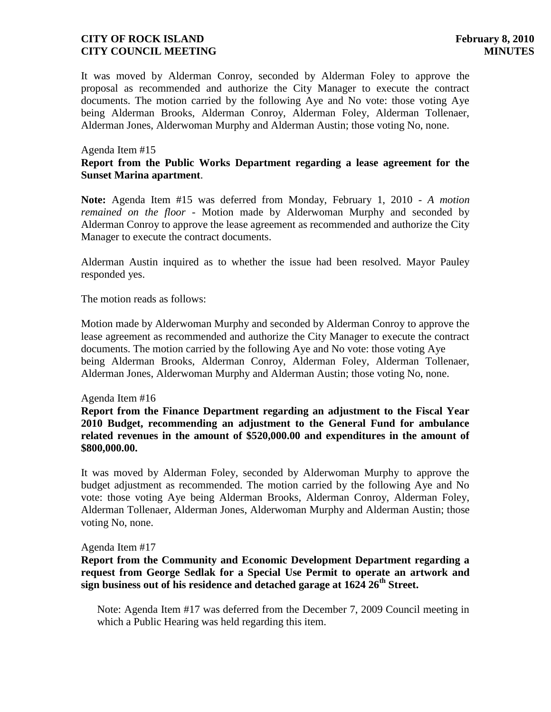It was moved by Alderman Conroy, seconded by Alderman Foley to approve the proposal as recommended and authorize the City Manager to execute the contract documents. The motion carried by the following Aye and No vote: those voting Aye being Alderman Brooks, Alderman Conroy, Alderman Foley, Alderman Tollenaer, Alderman Jones, Alderwoman Murphy and Alderman Austin; those voting No, none.

## Agenda Item #15

## **Report from the Public Works Department regarding a lease agreement for the Sunset Marina apartment**.

**Note:** Agenda Item #15 was deferred from Monday, February 1, 2010 - *A motion remained on the floor* - Motion made by Alderwoman Murphy and seconded by Alderman Conroy to approve the lease agreement as recommended and authorize the City Manager to execute the contract documents.

Alderman Austin inquired as to whether the issue had been resolved. Mayor Pauley responded yes.

The motion reads as follows:

Motion made by Alderwoman Murphy and seconded by Alderman Conroy to approve the lease agreement as recommended and authorize the City Manager to execute the contract documents. The motion carried by the following Aye and No vote: those voting Aye being Alderman Brooks, Alderman Conroy, Alderman Foley, Alderman Tollenaer, Alderman Jones, Alderwoman Murphy and Alderman Austin; those voting No, none.

#### Agenda Item #16

**Report from the Finance Department regarding an adjustment to the Fiscal Year 2010 Budget, recommending an adjustment to the General Fund for ambulance related revenues in the amount of \$520,000.00 and expenditures in the amount of \$800,000.00.** 

It was moved by Alderman Foley, seconded by Alderwoman Murphy to approve the budget adjustment as recommended. The motion carried by the following Aye and No vote: those voting Aye being Alderman Brooks, Alderman Conroy, Alderman Foley, Alderman Tollenaer, Alderman Jones, Alderwoman Murphy and Alderman Austin; those voting No, none.

#### Agenda Item #17

**Report from the Community and Economic Development Department regarding a request from George Sedlak for a Special Use Permit to operate an artwork and sign business out of his residence and detached garage at 1624 26th Street.**

 Note: Agenda Item #17 was deferred from the December 7, 2009 Council meeting in which a Public Hearing was held regarding this item.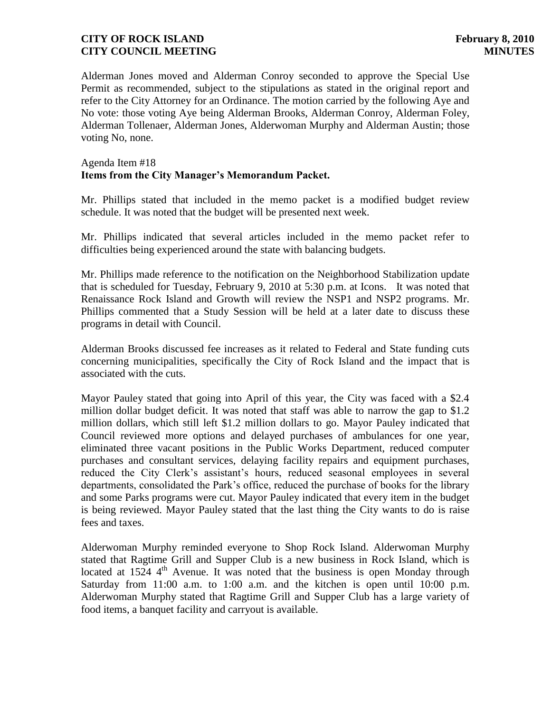Alderman Jones moved and Alderman Conroy seconded to approve the Special Use Permit as recommended, subject to the stipulations as stated in the original report and refer to the City Attorney for an Ordinance. The motion carried by the following Aye and No vote: those voting Aye being Alderman Brooks, Alderman Conroy, Alderman Foley, Alderman Tollenaer, Alderman Jones, Alderwoman Murphy and Alderman Austin; those voting No, none.

## Agenda Item #18 **Items from the City Manager's Memorandum Packet.**

Mr. Phillips stated that included in the memo packet is a modified budget review schedule. It was noted that the budget will be presented next week.

Mr. Phillips indicated that several articles included in the memo packet refer to difficulties being experienced around the state with balancing budgets.

Mr. Phillips made reference to the notification on the Neighborhood Stabilization update that is scheduled for Tuesday, February 9, 2010 at 5:30 p.m. at Icons. It was noted that Renaissance Rock Island and Growth will review the NSP1 and NSP2 programs. Mr. Phillips commented that a Study Session will be held at a later date to discuss these programs in detail with Council.

Alderman Brooks discussed fee increases as it related to Federal and State funding cuts concerning municipalities, specifically the City of Rock Island and the impact that is associated with the cuts.

Mayor Pauley stated that going into April of this year, the City was faced with a \$2.4 million dollar budget deficit. It was noted that staff was able to narrow the gap to \$1.2 million dollars, which still left \$1.2 million dollars to go. Mayor Pauley indicated that Council reviewed more options and delayed purchases of ambulances for one year, eliminated three vacant positions in the Public Works Department, reduced computer purchases and consultant services, delaying facility repairs and equipment purchases, reduced the City Clerk's assistant's hours, reduced seasonal employees in several departments, consolidated the Park's office, reduced the purchase of books for the library and some Parks programs were cut. Mayor Pauley indicated that every item in the budget is being reviewed. Mayor Pauley stated that the last thing the City wants to do is raise fees and taxes.

Alderwoman Murphy reminded everyone to Shop Rock Island. Alderwoman Murphy stated that Ragtime Grill and Supper Club is a new business in Rock Island, which is located at  $1524 \, 4^{th}$  Avenue. It was noted that the business is open Monday through Saturday from 11:00 a.m. to 1:00 a.m. and the kitchen is open until 10:00 p.m. Alderwoman Murphy stated that Ragtime Grill and Supper Club has a large variety of food items, a banquet facility and carryout is available.